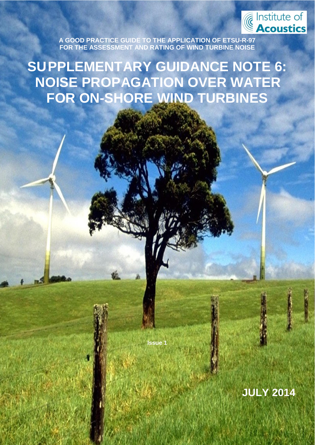

**A GOOD PRACTICE GUIDE TO THE APPLICATION OF ETSU-R-97 FOR THE ASSESSMENT AND RATING OF WIND TURBINE NOISE**

SUPPLEMENTARY GUIDANCE NOTE 6:

**SUPPLEMENTARY GUIDANCE NOTE 6: NOISE PROPAGATION OVER WATER FOR ON-SHORE WIND TURBINES**

**Issue 1**

Page **1** of **6**

**ISSUE 1 JULY 2014**

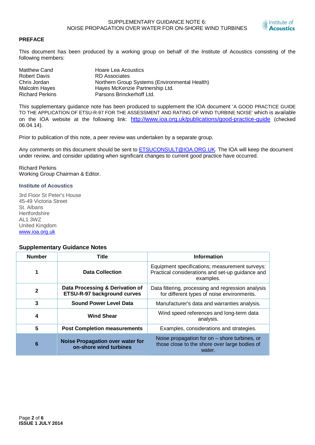

### **PREFACE**

This document has been produced by a working group on behalf of the Institute of Acoustics consisting of the following members:

| Matthew Cand           | Hoare Lea Acoustics                           |
|------------------------|-----------------------------------------------|
| <b>Robert Davis</b>    | RD Associates                                 |
| Chris Jordan           | Northern Group Systems (Environmental Health) |
| Malcolm Hayes          | Hayes McKenzie Partnership Ltd.               |
| <b>Richard Perkins</b> | Parsons Brinckerhoff Ltd.                     |

This supplementary guidance note has been produced to supplement the IOA document 'A GOOD PRACTICE GUIDE TO THE APPLICATION OF ETSU-R-97 FOR THE ASSESSMENT AND RATING OF WIND TURBINE NOISE' which is available on the IOA website at the following link: http://www.ioa.org.uk/publications/good-practice-guide (checked 06.04.14).

Prior to publication of this note, a peer review was undertaken by a separate group.

Any comments on this document should be sent to ETSUCONSULT@IOA.ORG.UK. The IOA will keep the document under review, and consider updating when significant changes to current good practice have occurred.

Richard Perkins Working Group Chairman & Editor.

#### **Institute of Acoustics**

3rd Floor St Peter's House 45-49 Victoria Street St. Albans **Hertfordshire** AL1 3WZ United Kingdom www.ioa.org.uk

#### **Supplementary Guidance Notes**

| <b>Number</b> | <b>Title</b>                                                      | <b>Information</b>                                                                                              |  |  |  |
|---------------|-------------------------------------------------------------------|-----------------------------------------------------------------------------------------------------------------|--|--|--|
|               | <b>Data Collection</b>                                            | Equipment specifications; measurement surveys:<br>Practical considerations and set-up guidance and<br>examples. |  |  |  |
| $\mathbf{2}$  | Data Processing & Derivation of<br>ETSU-R-97 background curves    | Data filtering, processing and regression analysis<br>for different types of noise environments.                |  |  |  |
| 3             | <b>Sound Power Level Data</b>                                     | Manufacturer's data and warranties analysis.                                                                    |  |  |  |
| 4             | <b>Wind Shear</b>                                                 | Wind speed references and long-term data<br>analysis.                                                           |  |  |  |
| 5             | <b>Post Completion measurements</b>                               | Examples, considerations and strategies.                                                                        |  |  |  |
| 6             | <b>Noise Propagation over water for</b><br>on-shore wind turbines | Noise propagation for on $-$ shore turbines, or<br>those close to the shore over large bodies of<br>water.      |  |  |  |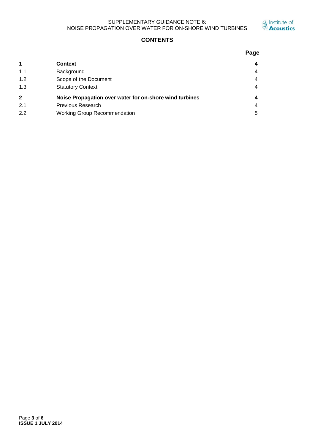#### SUPPLEMENTARY GUIDANCE NOTE 6: NOISE PROPAGATION OVER WATER FOR ON-SHORE WIND TURBINES



# **CONTENTS**

|                |                                                         | Page |
|----------------|---------------------------------------------------------|------|
| $\mathbf 1$    | <b>Context</b>                                          |      |
| 1.1            | Background                                              | 4    |
| 1.2            | Scope of the Document                                   | 4    |
| 1.3            | <b>Statutory Context</b>                                | 4    |
| $\overline{2}$ | Noise Propagation over water for on-shore wind turbines |      |
| 2.1            | <b>Previous Research</b>                                | 4    |
| 2.2            | Working Group Recommendation                            | 5    |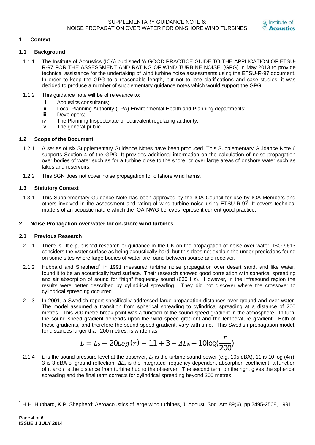

# **1 Context**

# **1.1 Background**

- 1.1.1 The Institute of Acoustics (IOA) published 'A GOOD PRACTICE GUIDE TO THE APPLICATION OF ETSU-R-97 FOR THE ASSESSMENT AND RATING OF WIND TURBINE NOISE' (GPG) in May 2013 to provide technical assistance for the undertaking of wind turbine noise assessments using the ETSU-R-97 document. In order to keep the GPG to a reasonable length, but not to lose clarifications and case studies, it was decided to produce a number of supplementary guidance notes which would support the GPG.
- 1.1.2 This guidance note will be of relevance to:
	- i. Acoustics consultants;
	- ii. Local Planning Authority (LPA) Environmental Health and Planning departments;
	- iii. Developers;
	- iv. The Planning Inspectorate or equivalent regulating authority;
	- v. The general public.

# **1.2 Scope of the Document**

- 1.2.1 A series of six Supplementary Guidance Notes have been produced. This Supplementary Guidance Note 6 supports Section 4 of the GPG. It provides additional information on the calculation of noise propagation over bodies of water such as for a turbine close to the shore, or over large areas of onshore water such as lakes and reservoirs.
- 1.2.2 This SGN does not cover noise propagation for offshore wind farms.

# **1.3 Statutory Context**

1.3.1 This Supplementary Guidance Note has been approved by the IOA Council for use by IOA Members and others involved in the assessment and rating of wind turbine noise using ETSU-R-97. It covers technical matters of an acoustic nature which the IOA-NWG believes represent current good practice.

## **2 Noise Propagation over water for on-shore wind turbines**

## **2.1 Previous Research**

- 2.1.1 There is little published research or guidance in the UK on the propagation of noise over water. ISO 9613 considers the water surface as being acoustically hard, but this does not explain the under-predictions found on some sites where large bodies of water are found between source and receiver.
- 2.1.2 Hubbard and Shepherd<sup>1</sup> in 1991 measured turbine noise propagation over desert sand, and like water, found it to be an acoustically hard surface. Their research showed good correlation with spherical spreading and air absorption of sound for "high" frequency sound (630 Hz). However, in the infrasound region the results were better described by cylindrical spreading. They did not discover where the crossover to cylindrical spreading occurred.
- 2.1.3 In 2001, a Swedish report specifically addressed large propagation distances over ground and over water. The model assumed a transition from spherical spreading to cylindrical spreading at a distance of 200 metres. This 200 metre break point was a function of the sound speed gradient in the atmosphere. In turn, the sound speed gradient depends upon the wind speed gradient and the temperature gradient. Both of these gradients, and therefore the sound speed gradient, vary with time. This Swedish propagation model, for distances larger than 200 metres, is written as:

$$
L = L_s - 20 Log(r) - 11 + 3 - \Delta L_a + 10 log(\frac{r}{200})
$$

2.1.4 *L* is the sound pressure level at the observer,  $L_s$  is the turbine sound power (e.g. 105 dBA), 11 is 10 log (4 $\pi$ ), 3 is 3 dBA of ground reflection, *ǻLa* is the integrated frequency dependent absorption coefficient, a function of r, and *r* is the distance from turbine hub to the observer. The second term on the right gives the spherical spreading and the final term corrects for cylindrical spreading beyond 200 metres.

<sup>&</sup>lt;sup>1</sup> H.H. Hubbard, K.P. Shepherd: Aeroacoustics of large wind turbines, J. Acoust. Soc. Am 89(6), pp 2495-2508, 1991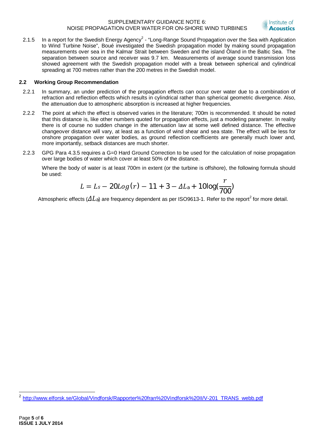#### SUPPLEMENTARY GUIDANCE NOTE 6: NOISE PROPAGATION OVER WATER FOR ON-SHORE WIND TURBINES



2.1.5 In a report for the Swedish Energy Agency<sup>2</sup> - "Long-Range Sound Propagation over the Sea with Application to Wind Turbine Noise", Boué investigated the Swedish propagation model by making sound propagation measurements over sea in the Kalmar Strait between Sweden and the island Öland in the Baltic Sea. The separation between source and receiver was 9.7 km. Measurements of average sound transmission loss showed agreement with the Swedish propagation model with a break between spherical and cylindrical spreading at 700 metres rather than the 200 metres in the Swedish model.

## **2.2 Working Group Recommendation**

- 2.2.1 In summary, an under prediction of the propagation effects can occur over water due to a combination of refraction and reflection effects which results in cylindrical rather than spherical geometric divergence. Also, the attenuation due to atmospheric absorption is increased at higher frequencies.
- 2.2.2 The point at which the effect is observed varies in the literature; 700m is recommended. It should be noted that this distance is, like other numbers quoted for propagation effects, just a modeling parameter. In reality there is of course no sudden change in the attenuation law at some well defined distance. The effective changeover distance will vary, at least as a function of wind shear and sea state. The effect will be less for onshore propagation over water bodies, as ground reflection coefficients are generally much lower and, more importantly, setback distances are much shorter.
- 2.2.3 GPG Para 4.3.5 requires a G=0 Hard Ground Correction to be used for the calculation of noise propagation over large bodies of water which cover at least 50% of the distance.

Where the body of water is at least 700m in extent (or the turbine is offshore), the following formula should be used:

$$
L = L_s - 20 Log(r) - 11 + 3 - \Delta L_a + 10 log(\frac{r}{700})
$$

Atmospheric effects ( $\varDelta L_{\rm a}$ ) are frequency dependent as per ISO9613-1. Refer to the report $^2$  for more detail.

<sup>&</sup>lt;sup>2</sup> http://www.elforsk.se/Global/Vindforsk/Rapporter%20fran%20Vindforsk%20II/V-201\_TRANS\_webb.pdf